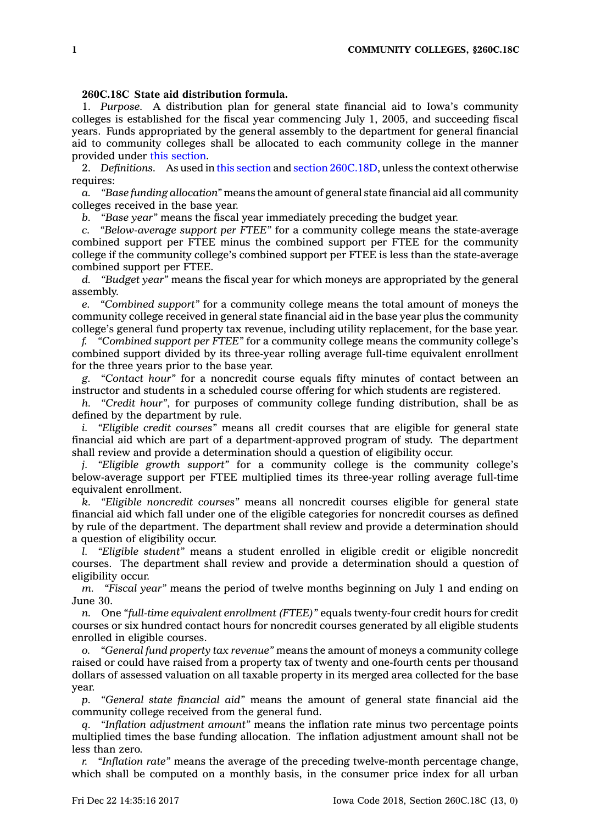## **260C.18C State aid distribution formula.**

1. *Purpose.* A distribution plan for general state financial aid to Iowa's community colleges is established for the fiscal year commencing July 1, 2005, and succeeding fiscal years. Funds appropriated by the general assembly to the department for general financial aid to community colleges shall be allocated to each community college in the manner provided under this [section](https://www.legis.iowa.gov/docs/code/260C.18C.pdf).

2. *Definitions.* As used in this [section](https://www.legis.iowa.gov/docs/code/260C.18C.pdf) and section [260C.18D](https://www.legis.iowa.gov/docs/code/260C.18D.pdf), unless the context otherwise requires:

*a. "Base funding allocation"* means the amount of general state financial aid all community colleges received in the base year.

*b. "Base year"* means the fiscal year immediately preceding the budget year.

*c. "Below-average support per FTEE"* for <sup>a</sup> community college means the state-average combined support per FTEE minus the combined support per FTEE for the community college if the community college's combined support per FTEE is less than the state-average combined support per FTEE.

*d. "Budget year"* means the fiscal year for which moneys are appropriated by the general assembly.

*e. "Combined support"* for <sup>a</sup> community college means the total amount of moneys the community college received in general state financial aid in the base year plus the community college's general fund property tax revenue, including utility replacement, for the base year.

*f. "Combined support per FTEE"* for <sup>a</sup> community college means the community college's combined support divided by its three-year rolling average full-time equivalent enrollment for the three years prior to the base year.

*g. "Contact hour"* for <sup>a</sup> noncredit course equals fifty minutes of contact between an instructor and students in <sup>a</sup> scheduled course offering for which students are registered.

*h. "Credit hour"*, for purposes of community college funding distribution, shall be as defined by the department by rule.

*i. "Eligible credit courses"* means all credit courses that are eligible for general state financial aid which are part of <sup>a</sup> department-approved program of study. The department shall review and provide <sup>a</sup> determination should <sup>a</sup> question of eligibility occur.

*j. "Eligible growth support"* for <sup>a</sup> community college is the community college's below-average support per FTEE multiplied times its three-year rolling average full-time equivalent enrollment.

*k. "Eligible noncredit courses"* means all noncredit courses eligible for general state financial aid which fall under one of the eligible categories for noncredit courses as defined by rule of the department. The department shall review and provide <sup>a</sup> determination should <sup>a</sup> question of eligibility occur.

*l. "Eligible student"* means <sup>a</sup> student enrolled in eligible credit or eligible noncredit courses. The department shall review and provide <sup>a</sup> determination should <sup>a</sup> question of eligibility occur.

*m. "Fiscal year"* means the period of twelve months beginning on July 1 and ending on June 30.

*n.* One *"full-time equivalent enrollment (FTEE)"* equals twenty-four credit hours for credit courses or six hundred contact hours for noncredit courses generated by all eligible students enrolled in eligible courses.

*o. "General fund property tax revenue"* means the amount of moneys <sup>a</sup> community college raised or could have raised from <sup>a</sup> property tax of twenty and one-fourth cents per thousand dollars of assessed valuation on all taxable property in its merged area collected for the base year.

*p. "General state financial aid"* means the amount of general state financial aid the community college received from the general fund.

*q. "Inflation adjustment amount"* means the inflation rate minus two percentage points multiplied times the base funding allocation. The inflation adjustment amount shall not be less than zero.

*r. "Inflation rate"* means the average of the preceding twelve-month percentage change, which shall be computed on <sup>a</sup> monthly basis, in the consumer price index for all urban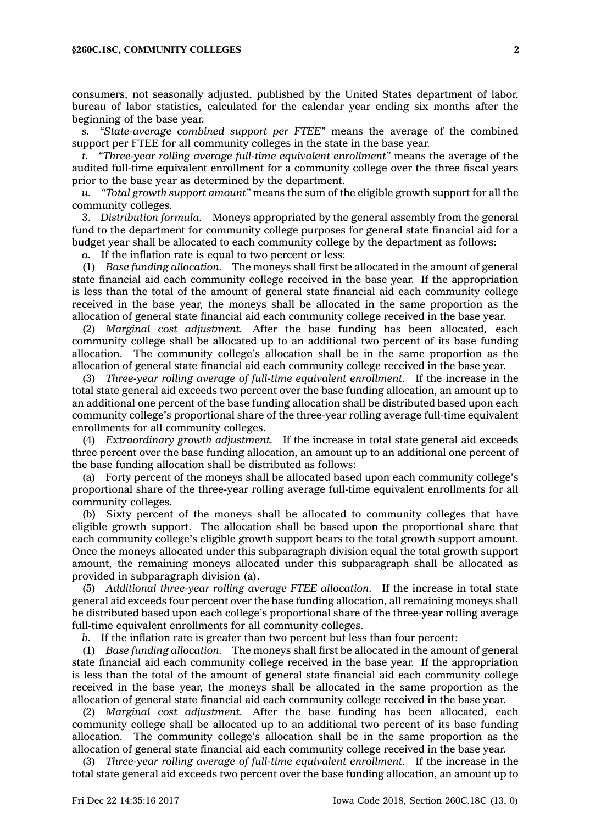consumers, not seasonally adjusted, published by the United States department of labor, bureau of labor statistics, calculated for the calendar year ending six months after the beginning of the base year.

*s. "State-average combined support per FTEE"* means the average of the combined support per FTEE for all community colleges in the state in the base year.

*t. "Three-year rolling average full-time equivalent enrollment"* means the average of the audited full-time equivalent enrollment for <sup>a</sup> community college over the three fiscal years prior to the base year as determined by the department.<br> *u.* "Total growth support amount" means the sum of the

*u. "Total growth support amount"* means the sum of the eligible growth support for all the community colleges.

3. *Distribution formula.* Moneys appropriated by the general assembly from the general fund to the department for community college purposes for general state financial aid for <sup>a</sup> budget year shall be allocated to each community college by the department as follows:

*a.* If the inflation rate is equal to two percent or less:

(1) *Base funding allocation.* The moneys shall first be allocated in the amount of general state financial aid each community college received in the base year. If the appropriation is less than the total of the amount of general state financial aid each community college received in the base year, the moneys shall be allocated in the same proportion as the allocation of general state financial aid each community college received in the base year.

(2) *Marginal cost adjustment.* After the base funding has been allocated, each community college shall be allocated up to an additional two percent of its base funding allocation. The community college's allocation shall be in the same proportion as the allocation of general state financial aid each community college received in the base year.

(3) *Three-year rolling average of full-time equivalent enrollment.* If the increase in the total state general aid exceeds two percent over the base funding allocation, an amount up to an additional one percent of the base funding allocation shall be distributed based upon each community college's proportional share of the three-year rolling average full-time equivalent enrollments for all community colleges.

(4) *Extraordinary growth adjustment.* If the increase in total state general aid exceeds three percent over the base funding allocation, an amount up to an additional one percent of the base funding allocation shall be distributed as follows:

(a) Forty percent of the moneys shall be allocated based upon each community college's proportional share of the three-year rolling average full-time equivalent enrollments for all community colleges.

(b) Sixty percent of the moneys shall be allocated to community colleges that have eligible growth support. The allocation shall be based upon the proportional share that each community college's eligible growth support bears to the total growth support amount. Once the moneys allocated under this subparagraph division equal the total growth support amount, the remaining moneys allocated under this subparagraph shall be allocated as provided in subparagraph division (a).

(5) *Additional three-year rolling average FTEE allocation.* If the increase in total state general aid exceeds four percent over the base funding allocation, all remaining moneys shall be distributed based upon each college's proportional share of the three-year rolling average full-time equivalent enrollments for all community colleges.

*b.* If the inflation rate is greater than two percent but less than four percent:

(1) *Base funding allocation.* The moneys shall first be allocated in the amount of general state financial aid each community college received in the base year. If the appropriation is less than the total of the amount of general state financial aid each community college received in the base year, the moneys shall be allocated in the same proportion as the allocation of general state financial aid each community college received in the base year.

(2) *Marginal cost adjustment.* After the base funding has been allocated, each community college shall be allocated up to an additional two percent of its base funding allocation. The community college's allocation shall be in the same proportion as the allocation of general state financial aid each community college received in the base year.

(3) *Three-year rolling average of full-time equivalent enrollment.* If the increase in the total state general aid exceeds two percent over the base funding allocation, an amount up to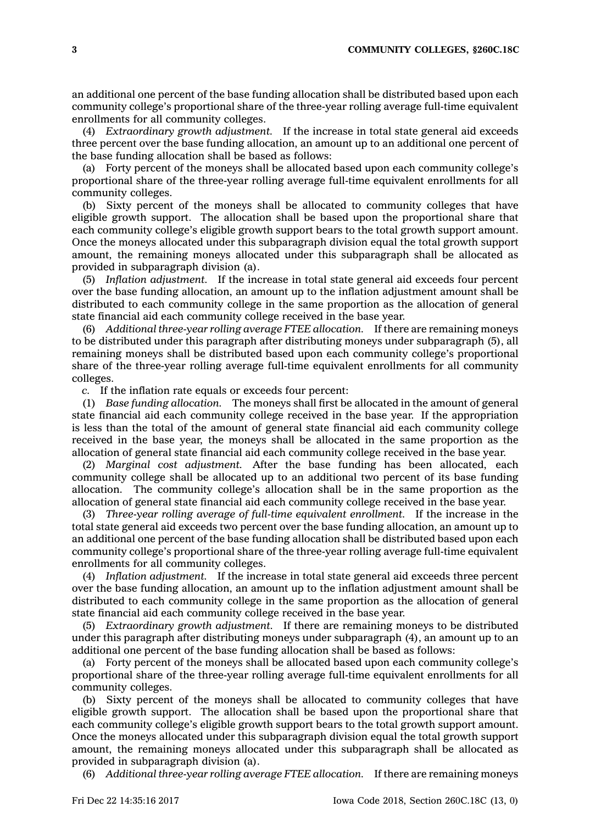an additional one percent of the base funding allocation shall be distributed based upon each community college's proportional share of the three-year rolling average full-time equivalent enrollments for all community colleges.

(4) *Extraordinary growth adjustment.* If the increase in total state general aid exceeds three percent over the base funding allocation, an amount up to an additional one percent of the base funding allocation shall be based as follows:

(a) Forty percent of the moneys shall be allocated based upon each community college's proportional share of the three-year rolling average full-time equivalent enrollments for all community colleges.

(b) Sixty percent of the moneys shall be allocated to community colleges that have eligible growth support. The allocation shall be based upon the proportional share that each community college's eligible growth support bears to the total growth support amount. Once the moneys allocated under this subparagraph division equal the total growth support amount, the remaining moneys allocated under this subparagraph shall be allocated as provided in subparagraph division (a).

(5) *Inflation adjustment.* If the increase in total state general aid exceeds four percent over the base funding allocation, an amount up to the inflation adjustment amount shall be distributed to each community college in the same proportion as the allocation of general state financial aid each community college received in the base year.

(6) *Additional three-year rolling average FTEE allocation.* If there are remaining moneys to be distributed under this paragraph after distributing moneys under subparagraph (5), all remaining moneys shall be distributed based upon each community college's proportional share of the three-year rolling average full-time equivalent enrollments for all community colleges.

*c.* If the inflation rate equals or exceeds four percent:

(1) *Base funding allocation.* The moneys shall first be allocated in the amount of general state financial aid each community college received in the base year. If the appropriation is less than the total of the amount of general state financial aid each community college received in the base year, the moneys shall be allocated in the same proportion as the allocation of general state financial aid each community college received in the base year.

(2) *Marginal cost adjustment.* After the base funding has been allocated, each community college shall be allocated up to an additional two percent of its base funding allocation. The community college's allocation shall be in the same proportion as the allocation of general state financial aid each community college received in the base year.

(3) *Three-year rolling average of full-time equivalent enrollment.* If the increase in the total state general aid exceeds two percent over the base funding allocation, an amount up to an additional one percent of the base funding allocation shall be distributed based upon each community college's proportional share of the three-year rolling average full-time equivalent enrollments for all community colleges.

(4) *Inflation adjustment.* If the increase in total state general aid exceeds three percent over the base funding allocation, an amount up to the inflation adjustment amount shall be distributed to each community college in the same proportion as the allocation of general state financial aid each community college received in the base year.

(5) *Extraordinary growth adjustment.* If there are remaining moneys to be distributed under this paragraph after distributing moneys under subparagraph (4), an amount up to an additional one percent of the base funding allocation shall be based as follows:

(a) Forty percent of the moneys shall be allocated based upon each community college's proportional share of the three-year rolling average full-time equivalent enrollments for all community colleges.

(b) Sixty percent of the moneys shall be allocated to community colleges that have eligible growth support. The allocation shall be based upon the proportional share that each community college's eligible growth support bears to the total growth support amount. Once the moneys allocated under this subparagraph division equal the total growth support amount, the remaining moneys allocated under this subparagraph shall be allocated as provided in subparagraph division (a).

(6) *Additional three-year rolling average FTEE allocation.* If there are remaining moneys